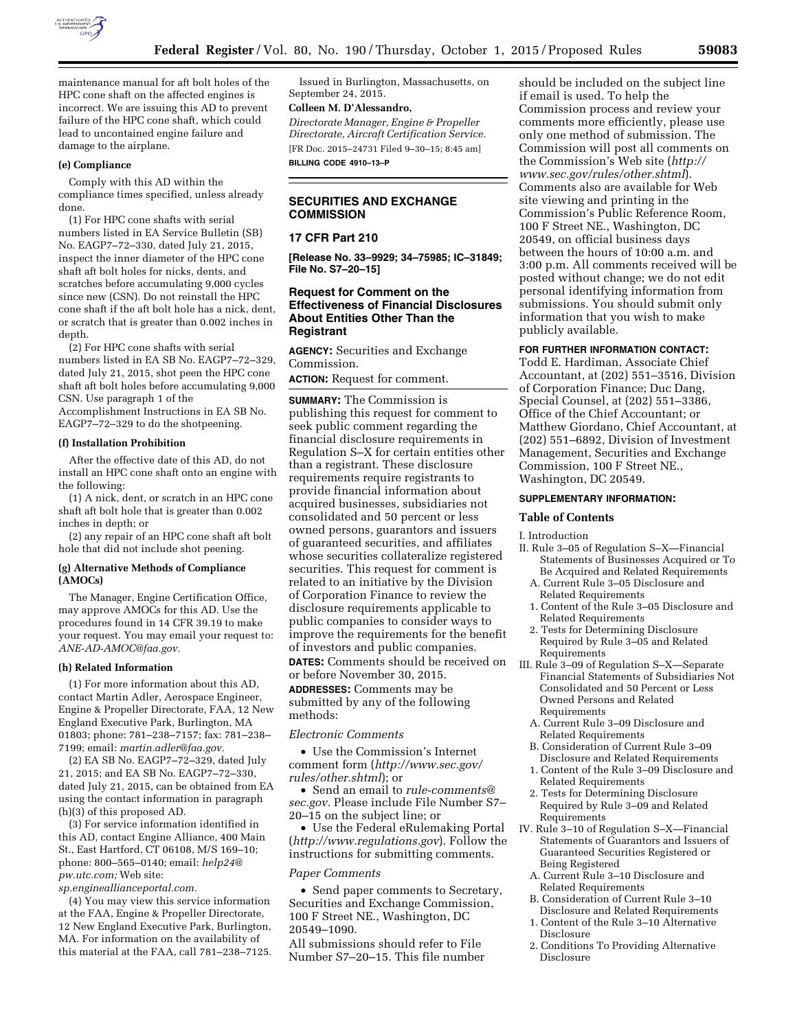

maintenance manual for aft bolt holes of the HPC cone shaft on the affected engines is incorrect. We are issuing this AD to prevent failure of the HPC cone shaft, which could lead to uncontained engine failure and damage to the airplane.

## **(e) Compliance**

Comply with this AD within the compliance times specified, unless already done.

(1) For HPC cone shafts with serial numbers listed in EA Service Bulletin (SB) No. EAGP7–72–330, dated July 21, 2015, inspect the inner diameter of the HPC cone shaft aft bolt holes for nicks, dents, and scratches before accumulating 9,000 cycles since new (CSN). Do not reinstall the HPC cone shaft if the aft bolt hole has a nick, dent, or scratch that is greater than 0.002 inches in depth.

(2) For HPC cone shafts with serial numbers listed in EA SB No. EAGP7–72–329, dated July 21, 2015, shot peen the HPC cone shaft aft bolt holes before accumulating 9,000 CSN. Use paragraph 1 of the Accomplishment Instructions in EA SB No. EAGP7–72–329 to do the shotpeening.

### **(f) Installation Prohibition**

After the effective date of this AD, do not install an HPC cone shaft onto an engine with the following:

(1) A nick, dent, or scratch in an HPC cone shaft aft bolt hole that is greater than 0.002 inches in depth; or

(2) any repair of an HPC cone shaft aft bolt hole that did not include shot peening.

#### **(g) Alternative Methods of Compliance (AMOCs)**

The Manager, Engine Certification Office, may approve AMOCs for this AD. Use the procedures found in 14 CFR 39.19 to make your request. You may email your request to: *[ANE-AD-AMOC@faa.gov.](mailto:ANE-AD-AMOC@faa.gov)* 

#### **(h) Related Information**

(1) For more information about this AD, contact Martin Adler, Aerospace Engineer, Engine & Propeller Directorate, FAA, 12 New England Executive Park, Burlington, MA 01803; phone: 781–238–7157; fax: 781–238– 7199; email: *[martin.adler@faa.gov.](mailto:martin.adler@faa.gov)* 

(2) EA SB No. EAGP7–72–329, dated July 21, 2015; and EA SB No. EAGP7–72–330, dated July 21, 2015, can be obtained from EA using the contact information in paragraph (h)(3) of this proposed AD.

(3) For service information identified in this AD, contact Engine Alliance, 400 Main St., East Hartford, CT 06108, M/S 169–10; phone: 800–565–0140; email: *[help24@](mailto:help24@pw.utc.com) [pw.utc.com;](mailto:help24@pw.utc.com)* Web site:

*sp.engineallianceportal.com.* 

(4) You may view this service information at the FAA, Engine & Propeller Directorate, 12 New England Executive Park, Burlington, MA. For information on the availability of this material at the FAA, call 781–238–7125.

Issued in Burlington, Massachusetts, on September 24, 2015.

# **Colleen M. D'Alessandro,**

*Directorate Manager, Engine & Propeller Directorate, Aircraft Certification Service.*  [FR Doc. 2015–24731 Filed 9–30–15; 8:45 am] **BILLING CODE 4910–13–P** 

# **SECURITIES AND EXCHANGE COMMISSION**

## **17 CFR Part 210**

**[Release No. 33–9929; 34–75985; IC–31849; File No. S7–20–15]** 

# **Request for Comment on the Effectiveness of Financial Disclosures About Entities Other Than the Registrant**

**AGENCY:** Securities and Exchange Commission.

**ACTION:** Request for comment.

**SUMMARY:** The Commission is publishing this request for comment to seek public comment regarding the financial disclosure requirements in Regulation S–X for certain entities other than a registrant. These disclosure requirements require registrants to provide financial information about acquired businesses, subsidiaries not consolidated and 50 percent or less owned persons, guarantors and issuers of guaranteed securities, and affiliates whose securities collateralize registered securities. This request for comment is related to an initiative by the Division of Corporation Finance to review the disclosure requirements applicable to public companies to consider ways to improve the requirements for the benefit of investors and public companies.

**DATES:** Comments should be received on or before November 30, 2015.

**ADDRESSES:** Comments may be submitted by any of the following methods:

### *Electronic Comments*

• Use the Commission's Internet comment form (*[http://www.sec.gov/](http://www.sec.gov/rules/other.shtml) [rules/other.shtml](http://www.sec.gov/rules/other.shtml)*); or

• Send an email to *[rule-comments@](mailto:rule-comments@sec.gov) [sec.gov.](mailto:rule-comments@sec.gov)* Please include File Number S7– 20–15 on the subject line; or

• Use the Federal eRulemaking Portal (*<http://www.regulations.gov>*). Follow the instructions for submitting comments.

#### *Paper Comments*

• Send paper comments to Secretary, Securities and Exchange Commission, 100 F Street NE., Washington, DC 20549–1090.

All submissions should refer to File Number S7–20–15. This file number

should be included on the subject line if email is used. To help the Commission process and review your comments more efficiently, please use only one method of submission. The Commission will post all comments on the Commission's Web site (*[http://](http://www.sec.gov/rules/other.shtml) [www.sec.gov/rules/other.shtml](http://www.sec.gov/rules/other.shtml)*). Comments also are available for Web site viewing and printing in the Commission's Public Reference Room, 100 F Street NE., Washington, DC 20549, on official business days between the hours of 10:00 a.m. and 3:00 p.m. All comments received will be posted without change; we do not edit personal identifying information from submissions. You should submit only information that you wish to make publicly available.

### **FOR FURTHER INFORMATION CONTACT:**

Todd E. Hardiman, Associate Chief Accountant, at (202) 551–3516, Division of Corporation Finance; Duc Dang, Special Counsel, at (202) 551–3386, Office of the Chief Accountant; or Matthew Giordano, Chief Accountant, at (202) 551–6892, Division of Investment Management, Securities and Exchange Commission, 100 F Street NE., Washington, DC 20549.

#### **SUPPLEMENTARY INFORMATION:**

#### **Table of Contents**

I. Introduction

- II. Rule 3–05 of Regulation S–X—Financial Statements of Businesses Acquired or To Be Acquired and Related Requirements
	- A. Current Rule 3–05 Disclosure and Related Requirements
	- 1. Content of the Rule 3–05 Disclosure and Related Requirements
	- 2. Tests for Determining Disclosure Required by Rule 3–05 and Related Requirements
- III. Rule 3–09 of Regulation S–X—Separate Financial Statements of Subsidiaries Not Consolidated and 50 Percent or Less Owned Persons and Related Requirements
	- A. Current Rule 3–09 Disclosure and Related Requirements
	- B. Consideration of Current Rule 3–09 Disclosure and Related Requirements
	- 1. Content of the Rule 3–09 Disclosure and Related Requirements
	- 2. Tests for Determining Disclosure Required by Rule 3–09 and Related Requirements
- IV. Rule 3–10 of Regulation S–X—Financial Statements of Guarantors and Issuers of Guaranteed Securities Registered or Being Registered
	- A. Current Rule 3–10 Disclosure and Related Requirements
	- B. Consideration of Current Rule 3–10 Disclosure and Related Requirements
	- 1. Content of the Rule 3–10 Alternative Disclosure
	- 2. Conditions To Providing Alternative Disclosure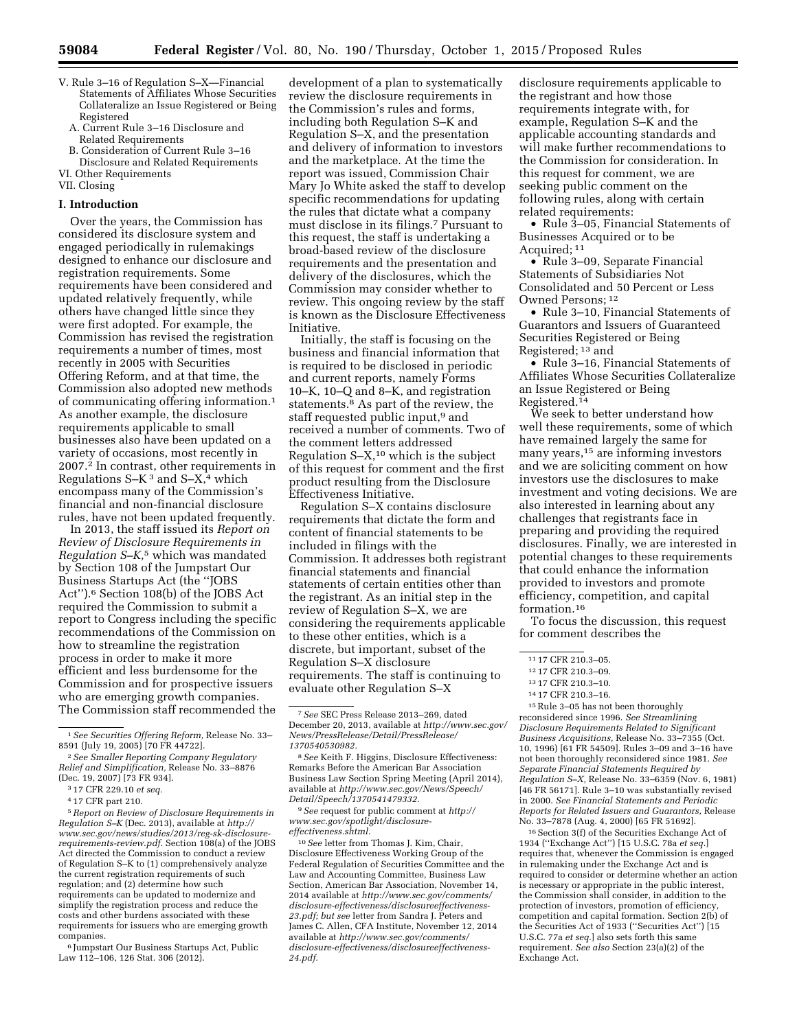- V. Rule 3–16 of Regulation S–X—Financial Statements of Affiliates Whose Securities Collateralize an Issue Registered or Being Registered
	- A. Current Rule 3–16 Disclosure and Related Requirements
	- B. Consideration of Current Rule 3–16 Disclosure and Related Requirements
- VI. Other Requirements

VII. Closing

### **I. Introduction**

Over the years, the Commission has considered its disclosure system and engaged periodically in rulemakings designed to enhance our disclosure and registration requirements. Some requirements have been considered and updated relatively frequently, while others have changed little since they were first adopted. For example, the Commission has revised the registration requirements a number of times, most recently in 2005 with Securities Offering Reform, and at that time, the Commission also adopted new methods of communicating offering information.1 As another example, the disclosure requirements applicable to small businesses also have been updated on a variety of occasions, most recently in 2007.2 In contrast, other requirements in Regulations  $S-K^3$  and  $S-X^4$  which encompass many of the Commission's financial and non-financial disclosure rules, have not been updated frequently.

In 2013, the staff issued its *Report on Review of Disclosure Requirements in Regulation S–K,*5 which was mandated by Section 108 of the Jumpstart Our Business Startups Act (the ''JOBS Act'').6 Section 108(b) of the JOBS Act required the Commission to submit a report to Congress including the specific recommendations of the Commission on how to streamline the registration process in order to make it more efficient and less burdensome for the Commission and for prospective issuers who are emerging growth companies. The Commission staff recommended the

5*Report on Review of Disclosure Requirements in Regulation S–K* (Dec. 2013), available at *[http://](http://www.sec.gov/news/studies/2013/reg-sk-disclosure-requirements-review.pdf) [www.sec.gov/news/studies/2013/reg-sk-disclosure](http://www.sec.gov/news/studies/2013/reg-sk-disclosure-requirements-review.pdf)[requirements-review.pdf.](http://www.sec.gov/news/studies/2013/reg-sk-disclosure-requirements-review.pdf)* Section 108(a) of the JOBS Act directed the Commission to conduct a review of Regulation S–K to (1) comprehensively analyze the current registration requirements of such regulation; and (2) determine how such requirements can be updated to modernize and simplify the registration process and reduce the costs and other burdens associated with these requirements for issuers who are emerging growth companies.

6 Jumpstart Our Business Startups Act, Public Law 112–106, 126 Stat. 306 (2012).

development of a plan to systematically review the disclosure requirements in the Commission's rules and forms, including both Regulation S–K and Regulation S–X, and the presentation and delivery of information to investors and the marketplace. At the time the report was issued, Commission Chair Mary Jo White asked the staff to develop specific recommendations for updating the rules that dictate what a company must disclose in its filings.7 Pursuant to this request, the staff is undertaking a broad-based review of the disclosure requirements and the presentation and delivery of the disclosures, which the Commission may consider whether to review. This ongoing review by the staff is known as the Disclosure Effectiveness Initiative.

Initially, the staff is focusing on the business and financial information that is required to be disclosed in periodic and current reports, namely Forms 10–K, 10–Q and 8–K, and registration statements.8 As part of the review, the staff requested public input,<sup>9</sup> and received a number of comments. Two of the comment letters addressed Regulation  $S-X<sub>10</sub>$  which is the subject of this request for comment and the first product resulting from the Disclosure Effectiveness Initiative.

Regulation S–X contains disclosure requirements that dictate the form and content of financial statements to be included in filings with the Commission. It addresses both registrant financial statements and financial statements of certain entities other than the registrant. As an initial step in the review of Regulation S–X, we are considering the requirements applicable to these other entities, which is a discrete, but important, subset of the Regulation S–X disclosure requirements. The staff is continuing to evaluate other Regulation S–X

9*See* request for public comment at *[http://](http://www.sec.gov/spotlight/disclosure-effectiveness.shtml) [www.sec.gov/spotlight/disclosure](http://www.sec.gov/spotlight/disclosure-effectiveness.shtml)[effectiveness.shtml.](http://www.sec.gov/spotlight/disclosure-effectiveness.shtml)* 

10*See* letter from Thomas J. Kim, Chair, Disclosure Effectiveness Working Group of the Federal Regulation of Securities Committee and the Law and Accounting Committee, Business Law Section, American Bar Association, November 14, 2014 available at *[http://www.sec.gov/comments/](http://www.sec.gov/comments/disclosure-effectiveness/disclosureeffectiveness-23.pdf) [disclosure-effectiveness/disclosureeffectiveness-](http://www.sec.gov/comments/disclosure-effectiveness/disclosureeffectiveness-23.pdf)[23.pdf;](http://www.sec.gov/comments/disclosure-effectiveness/disclosureeffectiveness-23.pdf) but see* letter from Sandra J. Peters and James C. Allen, CFA Institute, November 12, 2014 available at *[http://www.sec.gov/comments/](http://www.sec.gov/comments/disclosure-effectiveness/disclosureeffectiveness-24.pdf) [disclosure-effectiveness/disclosureeffectiveness-](http://www.sec.gov/comments/disclosure-effectiveness/disclosureeffectiveness-24.pdf)[24.pdf.](http://www.sec.gov/comments/disclosure-effectiveness/disclosureeffectiveness-24.pdf)* 

disclosure requirements applicable to the registrant and how those requirements integrate with, for example, Regulation S–K and the applicable accounting standards and will make further recommendations to the Commission for consideration. In this request for comment, we are seeking public comment on the following rules, along with certain related requirements:

• Rule 3–05, Financial Statements of Businesses Acquired or to be Acquired; 11

• Rule 3–09, Separate Financial Statements of Subsidiaries Not Consolidated and 50 Percent or Less Owned Persons; 12

• Rule 3–10, Financial Statements of Guarantors and Issuers of Guaranteed Securities Registered or Being Registered; <sup>13</sup> and

• Rule 3–16, Financial Statements of Affiliates Whose Securities Collateralize an Issue Registered or Being Registered.14

We seek to better understand how well these requirements, some of which have remained largely the same for many years,15 are informing investors and we are soliciting comment on how investors use the disclosures to make investment and voting decisions. We are also interested in learning about any challenges that registrants face in preparing and providing the required disclosures. Finally, we are interested in potential changes to these requirements that could enhance the information provided to investors and promote efficiency, competition, and capital formation.16

To focus the discussion, this request for comment describes the

15Rule 3–05 has not been thoroughly reconsidered since 1996. *See Streamlining Disclosure Requirements Related to Significant Business Acquisitions,* Release No. 33–7355 (Oct. 10, 1996) [61 FR 54509]. Rules 3–09 and 3–16 have not been thoroughly reconsidered since 1981. *See Separate Financial Statements Required by Regulation S–X,* Release No. 33–6359 (Nov. 6, 1981) [46 FR 56171]. Rule 3–10 was substantially revised in 2000. *See Financial Statements and Periodic Reports for Related Issuers and Guarantors,* Release No. 33–7878 (Aug. 4, 2000) [65 FR 51692].

16Section 3(f) of the Securities Exchange Act of 1934 (''Exchange Act'') [15 U.S.C. 78a *et seq.*] requires that, whenever the Commission is engaged in rulemaking under the Exchange Act and is required to consider or determine whether an action is necessary or appropriate in the public interest, the Commission shall consider, in addition to the protection of investors, promotion of efficiency, competition and capital formation. Section 2(b) of the Securities Act of 1933 (''Securities Act'') [15 U.S.C. 77a *et seq.*] also sets forth this same requirement. *See also* Section 23(a)(2) of the Exchange Act.

<sup>1</sup>*See Securities Offering Reform,* Release No. 33– 8591 (July 19, 2005) [70 FR 44722].

<sup>2</sup>*See Smaller Reporting Company Regulatory Relief and Simplification,* Release No. 33–8876 (Dec. 19, 2007) [73 FR 934].

<sup>3</sup> 17 CFR 229.10 *et seq.* 

<sup>4</sup> 17 CFR part 210.

<sup>7</sup>*See* SEC Press Release 2013–269, dated December 20, 2013, available at *[http://www.sec.gov/](http://www.sec.gov/News/PressRelease/Detail/PressRelease/1370540530982)  [News/PressRelease/Detail/PressRelease/](http://www.sec.gov/News/PressRelease/Detail/PressRelease/1370540530982) [1370540530982.](http://www.sec.gov/News/PressRelease/Detail/PressRelease/1370540530982)* 

<sup>8</sup>*See* Keith F. Higgins, Disclosure Effectiveness: Remarks Before the American Bar Association Business Law Section Spring Meeting (April 2014), available at *[http://www.sec.gov/News/Speech/](http://www.sec.gov/News/Speech/Detail/Speech/1370541479332) [Detail/Speech/1370541479332.](http://www.sec.gov/News/Speech/Detail/Speech/1370541479332)* 

<sup>11</sup> 17 CFR 210.3–05.

<sup>12</sup> 17 CFR 210.3–09.

<sup>13</sup> 17 CFR 210.3–10.

<sup>14</sup> 17 CFR 210.3–16.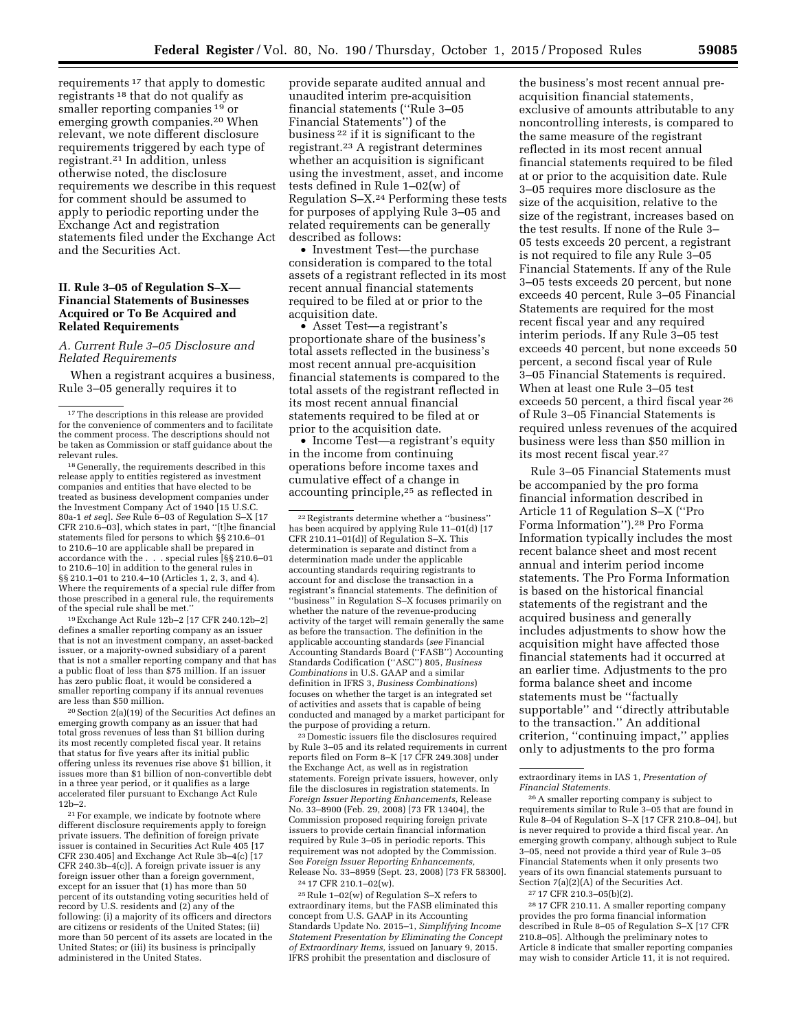requirements 17 that apply to domestic registrants 18 that do not qualify as smaller reporting companies 19 or emerging growth companies.20 When relevant, we note different disclosure requirements triggered by each type of registrant.21 In addition, unless otherwise noted, the disclosure requirements we describe in this request for comment should be assumed to apply to periodic reporting under the Exchange Act and registration statements filed under the Exchange Act and the Securities Act.

## **II. Rule 3–05 of Regulation S–X— Financial Statements of Businesses Acquired or To Be Acquired and Related Requirements**

## *A. Current Rule 3–05 Disclosure and Related Requirements*

When a registrant acquires a business, Rule 3–05 generally requires it to

<sup>18</sup> Generally, the requirements described in this release apply to entities registered as investment companies and entities that have elected to be treated as business development companies under the Investment Company Act of 1940 [15 U.S.C. 80a-1 *et seq*]. *See* Rule 6–03 of Regulation S–X [17 CFR 210.6–03], which states in part, ''[t]he financial statements filed for persons to which §§ 210.6–01 to 210.6–10 are applicable shall be prepared in accordance with the . . . special rules [§§ 210.6–01 to 210.6–10] in addition to the general rules in §§ 210.1–01 to 210.4–10 (Articles 1, 2, 3, and 4). Where the requirements of a special rule differ from those prescribed in a general rule, the requirements of the special rule shall be met.''

19Exchange Act Rule 12b–2 [17 CFR 240.12b–2] defines a smaller reporting company as an issuer that is not an investment company, an asset-backed issuer, or a majority-owned subsidiary of a parent that is not a smaller reporting company and that has a public float of less than \$75 million. If an issuer has zero public float, it would be considered a smaller reporting company if its annual revenues are less than \$50 million.

20Section 2(a)(19) of the Securities Act defines an emerging growth company as an issuer that had total gross revenues of less than \$1 billion during its most recently completed fiscal year. It retains that status for five years after its initial public offering unless its revenues rise above \$1 billion, it issues more than \$1 billion of non-convertible debt in a three year period, or it qualifies as a large accelerated filer pursuant to Exchange Act Rule 12b–2.

21For example, we indicate by footnote where different disclosure requirements apply to foreign private issuers. The definition of foreign private issuer is contained in Securities Act Rule 405 [17 CFR 230.405] and Exchange Act Rule 3b–4(c) [17 CFR 240.3b–4(c)]. A foreign private issuer is any foreign issuer other than a foreign government, except for an issuer that (1) has more than 50 percent of its outstanding voting securities held of record by U.S. residents and (2) any of the following: (i) a majority of its officers and directors are citizens or residents of the United States; (ii) more than 50 percent of its assets are located in the United States; or (iii) its business is principally administered in the United States.

provide separate audited annual and unaudited interim pre-acquisition financial statements (''Rule 3–05 Financial Statements'') of the business 22 if it is significant to the registrant.23 A registrant determines whether an acquisition is significant using the investment, asset, and income tests defined in Rule 1–02(w) of Regulation S–X.24 Performing these tests for purposes of applying Rule 3–05 and related requirements can be generally described as follows:

• Investment Test—the purchase consideration is compared to the total assets of a registrant reflected in its most recent annual financial statements required to be filed at or prior to the acquisition date.

• Asset Test—a registrant's proportionate share of the business's total assets reflected in the business's most recent annual pre-acquisition financial statements is compared to the total assets of the registrant reflected in its most recent annual financial statements required to be filed at or prior to the acquisition date.

• Income Test—a registrant's equity in the income from continuing operations before income taxes and cumulative effect of a change in accounting principle,25 as reflected in

23 Domestic issuers file the disclosures required by Rule 3–05 and its related requirements in current reports filed on Form 8–K [17 CFR 249.308] under the Exchange Act, as well as in registration statements. Foreign private issuers, however, only file the disclosures in registration statements. In *Foreign Issuer Reporting Enhancements,* Release No. 33–8900 (Feb. 29, 2008) [73 FR 13404], the Commission proposed requiring foreign private issuers to provide certain financial information required by Rule 3–05 in periodic reports. This requirement was not adopted by the Commission. See *Foreign Issuer Reporting Enhancements,*  Release No. 33–8959 (Sept. 23, 2008) [73 FR 58300]. 24 17 CFR 210.1–02(w).

 $\ensuremath{^{25}\text{Rule}}$  1–02(w) of Regulation S–X refers to extraordinary items, but the FASB eliminated this concept from U.S. GAAP in its Accounting Standards Update No. 2015–1, *Simplifying Income Statement Presentation by Eliminating the Concept of Extraordinary Items,* issued on January 9, 2015. IFRS prohibit the presentation and disclosure of

the business's most recent annual preacquisition financial statements, exclusive of amounts attributable to any noncontrolling interests, is compared to the same measure of the registrant reflected in its most recent annual financial statements required to be filed at or prior to the acquisition date. Rule 3–05 requires more disclosure as the size of the acquisition, relative to the size of the registrant, increases based on the test results. If none of the Rule 3– 05 tests exceeds 20 percent, a registrant is not required to file any Rule 3–05 Financial Statements. If any of the Rule 3–05 tests exceeds 20 percent, but none exceeds 40 percent, Rule 3–05 Financial Statements are required for the most recent fiscal year and any required interim periods. If any Rule 3–05 test exceeds 40 percent, but none exceeds 50 percent, a second fiscal year of Rule 3–05 Financial Statements is required. When at least one Rule 3–05 test exceeds 50 percent, a third fiscal year 26 of Rule 3–05 Financial Statements is required unless revenues of the acquired business were less than \$50 million in its most recent fiscal year.27

Rule 3–05 Financial Statements must be accompanied by the pro forma financial information described in Article 11 of Regulation S–X (''Pro Forma Information'').28 Pro Forma Information typically includes the most recent balance sheet and most recent annual and interim period income statements. The Pro Forma Information is based on the historical financial statements of the registrant and the acquired business and generally includes adjustments to show how the acquisition might have affected those financial statements had it occurred at an earlier time. Adjustments to the pro forma balance sheet and income statements must be ''factually supportable'' and ''directly attributable to the transaction.'' An additional criterion, ''continuing impact,'' applies only to adjustments to the pro forma

28 17 CFR 210.11. A smaller reporting company provides the pro forma financial information described in Rule 8–05 of Regulation S–X [17 CFR 210.8–05]. Although the preliminary notes to Article 8 indicate that smaller reporting companies may wish to consider Article 11, it is not required.

<sup>&</sup>lt;sup>17</sup>The descriptions in this release are provided for the convenience of commenters and to facilitate the comment process. The descriptions should not be taken as Commission or staff guidance about the

<sup>22</sup>Registrants determine whether a ''business'' has been acquired by applying Rule 11–01(d) [17 CFR 210.11–01(d)] of Regulation S–X. This determination is separate and distinct from a determination made under the applicable accounting standards requiring registrants to account for and disclose the transaction in a registrant's financial statements. The definition of ''business'' in Regulation S–X focuses primarily on whether the nature of the revenue-producing activity of the target will remain generally the same as before the transaction. The definition in the applicable accounting standards (*see* Financial Accounting Standards Board (''FASB'') Accounting Standards Codification (''ASC'') 805, *Business Combinations* in U.S. GAAP and a similar definition in IFRS 3, *Business Combinations*) focuses on whether the target is an integrated set of activities and assets that is capable of being conducted and managed by a market participant for the purpose of providing a return.

extraordinary items in IAS 1, *Presentation of Financial Statements.* 

<sup>26</sup>A smaller reporting company is subject to requirements similar to Rule 3–05 that are found in Rule 8–04 of Regulation S–X [17 CFR 210.8–04], but is never required to provide a third fiscal year. An emerging growth company, although subject to Rule 3–05, need not provide a third year of Rule 3–05 Financial Statements when it only presents two years of its own financial statements pursuant to Section 7(a)(2)(A) of the Securities Act.

<sup>27</sup> 17 CFR 210.3–05(b)(2).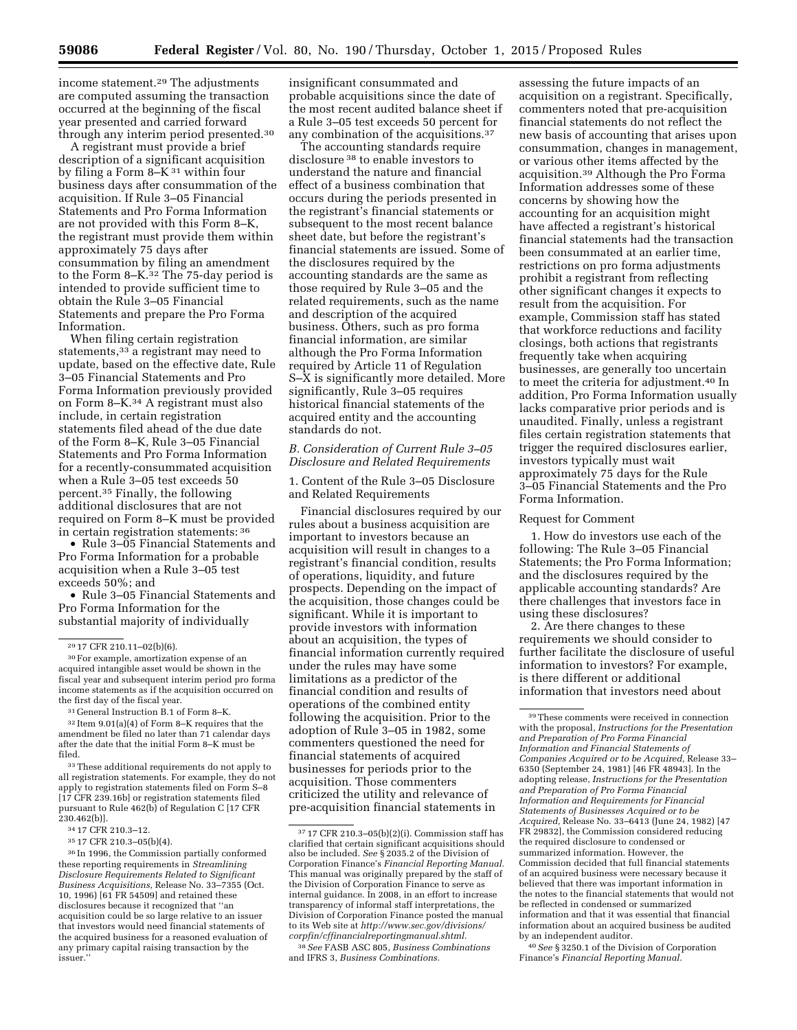income statement.29 The adjustments are computed assuming the transaction occurred at the beginning of the fiscal year presented and carried forward through any interim period presented.30

A registrant must provide a brief description of a significant acquisition by filing a Form 8–K 31 within four business days after consummation of the acquisition. If Rule 3–05 Financial Statements and Pro Forma Information are not provided with this Form 8–K, the registrant must provide them within approximately 75 days after consummation by filing an amendment to the Form 8–K.32 The 75-day period is intended to provide sufficient time to obtain the Rule 3–05 Financial Statements and prepare the Pro Forma Information.

When filing certain registration statements,<sup>33</sup> a registrant may need to update, based on the effective date, Rule 3–05 Financial Statements and Pro Forma Information previously provided on Form 8–K.34 A registrant must also include, in certain registration statements filed ahead of the due date of the Form 8–K, Rule 3–05 Financial Statements and Pro Forma Information for a recently-consummated acquisition when a Rule 3–05 test exceeds 50 percent.35 Finally, the following additional disclosures that are not required on Form 8–K must be provided in certain registration statements: 36

• Rule 3–05 Financial Statements and Pro Forma Information for a probable acquisition when a Rule 3–05 test exceeds 50%; and

• Rule 3–05 Financial Statements and Pro Forma Information for the substantial majority of individually

32 Item 9.01(a)(4) of Form 8–K requires that the amendment be filed no later than 71 calendar days after the date that the initial Form 8–K must be filed.

33These additional requirements do not apply to all registration statements. For example, they do not apply to registration statements filed on Form S–8 [17 CFR 239.16b] or registration statements filed pursuant to Rule 462(b) of Regulation C [17 CFR 230.462(b)].

36 In 1996, the Commission partially conformed these reporting requirements in *Streamlining Disclosure Requirements Related to Significant Business Acquisitions,* Release No. 33–7355 (Oct. 10, 1996) [61 FR 54509] and retained these disclosures because it recognized that ''an acquisition could be so large relative to an issuer that investors would need financial statements of the acquired business for a reasoned evaluation of any primary capital raising transaction by the issuer.''

insignificant consummated and probable acquisitions since the date of the most recent audited balance sheet if a Rule 3–05 test exceeds 50 percent for any combination of the acquisitions.37

The accounting standards require disclosure 38 to enable investors to understand the nature and financial effect of a business combination that occurs during the periods presented in the registrant's financial statements or subsequent to the most recent balance sheet date, but before the registrant's financial statements are issued. Some of the disclosures required by the accounting standards are the same as those required by Rule 3–05 and the related requirements, such as the name and description of the acquired business. Others, such as pro forma financial information, are similar although the Pro Forma Information required by Article 11 of Regulation S–X is significantly more detailed. More significantly, Rule 3–05 requires historical financial statements of the acquired entity and the accounting standards do not.

## *B. Consideration of Current Rule 3–05 Disclosure and Related Requirements*

1. Content of the Rule 3–05 Disclosure and Related Requirements

Financial disclosures required by our rules about a business acquisition are important to investors because an acquisition will result in changes to a registrant's financial condition, results of operations, liquidity, and future prospects. Depending on the impact of the acquisition, those changes could be significant. While it is important to provide investors with information about an acquisition, the types of financial information currently required under the rules may have some limitations as a predictor of the financial condition and results of operations of the combined entity following the acquisition. Prior to the adoption of Rule 3–05 in 1982, some commenters questioned the need for financial statements of acquired businesses for periods prior to the acquisition. Those commenters criticized the utility and relevance of pre-acquisition financial statements in

assessing the future impacts of an acquisition on a registrant. Specifically, commenters noted that pre-acquisition financial statements do not reflect the new basis of accounting that arises upon consummation, changes in management, or various other items affected by the acquisition.39 Although the Pro Forma Information addresses some of these concerns by showing how the accounting for an acquisition might have affected a registrant's historical financial statements had the transaction been consummated at an earlier time, restrictions on pro forma adjustments prohibit a registrant from reflecting other significant changes it expects to result from the acquisition. For example, Commission staff has stated that workforce reductions and facility closings, both actions that registrants frequently take when acquiring businesses, are generally too uncertain to meet the criteria for adjustment.40 In addition, Pro Forma Information usually lacks comparative prior periods and is unaudited. Finally, unless a registrant files certain registration statements that trigger the required disclosures earlier, investors typically must wait approximately 75 days for the Rule 3–05 Financial Statements and the Pro Forma Information.

### Request for Comment

1. How do investors use each of the following: The Rule 3–05 Financial Statements; the Pro Forma Information; and the disclosures required by the applicable accounting standards? Are there challenges that investors face in using these disclosures?

2. Are there changes to these requirements we should consider to further facilitate the disclosure of useful information to investors? For example, is there different or additional information that investors need about

<sup>29</sup> 17 CFR 210.11–02(b)(6).

<sup>30</sup>For example, amortization expense of an acquired intangible asset would be shown in the fiscal year and subsequent interim period pro forma income statements as if the acquisition occurred on the first day of the fiscal year.

<sup>31</sup> General Instruction B.1 of Form 8–K.

<sup>34</sup> 17 CFR 210.3–12.

<sup>35</sup> 17 CFR 210.3–05(b)(4).

<sup>37</sup> 17 CFR 210.3–05(b)(2)(i). Commission staff has clarified that certain significant acquisitions should also be included. *See* § 2035.2 of the Division of Corporation Finance's *Financial Reporting Manual.*  This manual was originally prepared by the staff of the Division of Corporation Finance to serve as internal guidance. In 2008, in an effort to increase transparency of informal staff interpretations, the Division of Corporation Finance posted the manual to its Web site at *[http://www.sec.gov/divisions/](http://www.sec.gov/divisions/corpfin/cffinancialreportingmanual.shtml) [corpfin/cffinancialreportingmanual.shtml.](http://www.sec.gov/divisions/corpfin/cffinancialreportingmanual.shtml)* 

<sup>38</sup>*See* FASB ASC 805, *Business Combinations*  and IFRS 3, *Business Combinations.* 

<sup>39</sup>These comments were received in connection with the proposal, *Instructions for the Presentation and Preparation of Pro Forma Financial Information and Financial Statements of Companies Acquired or to be Acquired,* Release 33– 6350 (September 24, 1981) [46 FR 48943]. In the adopting release, *Instructions for the Presentation and Preparation of Pro Forma Financial Information and Requirements for Financial Statements of Businesses Acquired or to be Acquired,* Release No. 33–6413 (June 24, 1982) [47 FR 29832], the Commission considered reducing the required disclosure to condensed or summarized information. However, the Commission decided that full financial statements of an acquired business were necessary because it believed that there was important information in the notes to the financial statements that would not be reflected in condensed or summarized information and that it was essential that financial information about an acquired business be audited by an independent auditor.

<sup>40</sup>*See* § 3250.1 of the Division of Corporation Finance's *Financial Reporting Manual.*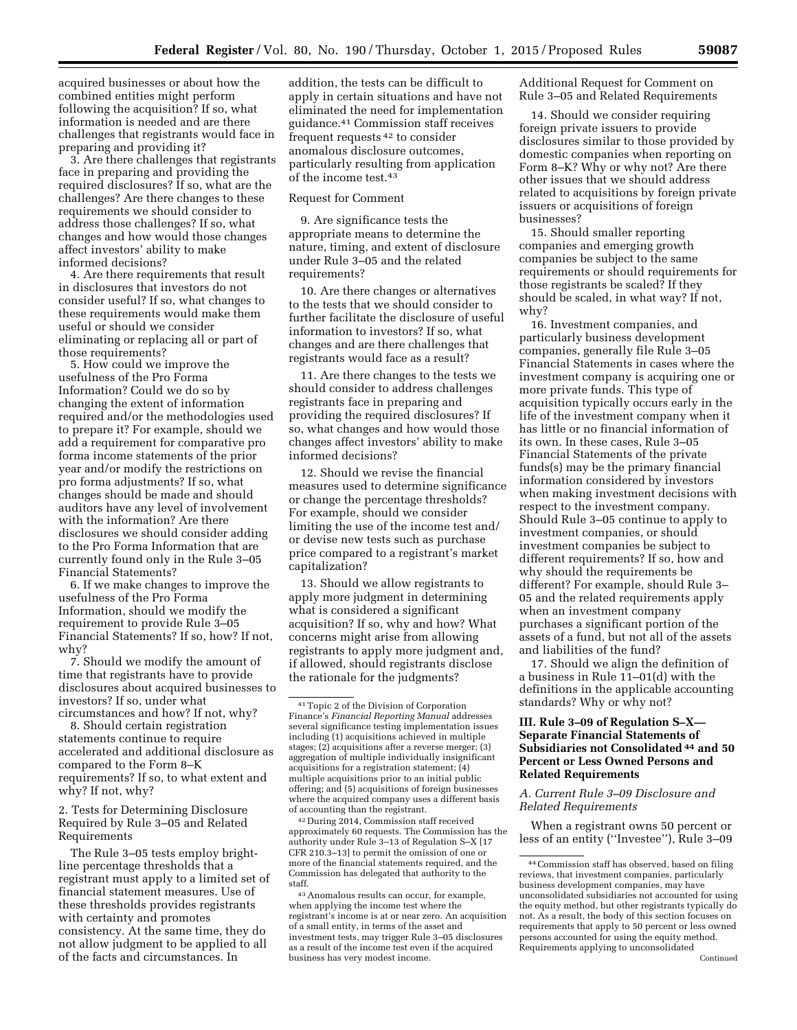acquired businesses or about how the combined entities might perform following the acquisition? If so, what information is needed and are there challenges that registrants would face in preparing and providing it?

3. Are there challenges that registrants face in preparing and providing the required disclosures? If so, what are the challenges? Are there changes to these requirements we should consider to address those challenges? If so, what changes and how would those changes affect investors' ability to make informed decisions?

4. Are there requirements that result in disclosures that investors do not consider useful? If so, what changes to these requirements would make them useful or should we consider eliminating or replacing all or part of those requirements?

5. How could we improve the usefulness of the Pro Forma Information? Could we do so by changing the extent of information required and/or the methodologies used to prepare it? For example, should we add a requirement for comparative pro forma income statements of the prior year and/or modify the restrictions on pro forma adjustments? If so, what changes should be made and should auditors have any level of involvement with the information? Are there disclosures we should consider adding to the Pro Forma Information that are currently found only in the Rule 3–05 Financial Statements?

6. If we make changes to improve the usefulness of the Pro Forma Information, should we modify the requirement to provide Rule 3–05 Financial Statements? If so, how? If not, why?

7. Should we modify the amount of time that registrants have to provide disclosures about acquired businesses to investors? If so, under what circumstances and how? If not, why?

8. Should certain registration statements continue to require accelerated and additional disclosure as compared to the Form 8–K requirements? If so, to what extent and why? If not, why?

2. Tests for Determining Disclosure Required by Rule 3–05 and Related Requirements

The Rule 3–05 tests employ brightline percentage thresholds that a registrant must apply to a limited set of financial statement measures. Use of these thresholds provides registrants with certainty and promotes consistency. At the same time, they do not allow judgment to be applied to all of the facts and circumstances. In

addition, the tests can be difficult to apply in certain situations and have not eliminated the need for implementation guidance.41 Commission staff receives frequent requests 42 to consider anomalous disclosure outcomes, particularly resulting from application of the income test.43

### Request for Comment

9. Are significance tests the appropriate means to determine the nature, timing, and extent of disclosure under Rule 3–05 and the related requirements?

10. Are there changes or alternatives to the tests that we should consider to further facilitate the disclosure of useful information to investors? If so, what changes and are there challenges that registrants would face as a result?

11. Are there changes to the tests we should consider to address challenges registrants face in preparing and providing the required disclosures? If so, what changes and how would those changes affect investors' ability to make informed decisions?

12. Should we revise the financial measures used to determine significance or change the percentage thresholds? For example, should we consider limiting the use of the income test and/ or devise new tests such as purchase price compared to a registrant's market capitalization?

13. Should we allow registrants to apply more judgment in determining what is considered a significant acquisition? If so, why and how? What concerns might arise from allowing registrants to apply more judgment and, if allowed, should registrants disclose the rationale for the judgments?

42 During 2014, Commission staff received approximately 60 requests. The Commission has the authority under Rule 3–13 of Regulation S–X [17 CFR 210.3–13] to permit the omission of one or more of the financial statements required, and the Commission has delegated that authority to the staff.

43Anomalous results can occur, for example, when applying the income test where the registrant's income is at or near zero. An acquisition of a small entity, in terms of the asset and investment tests, may trigger Rule 3–05 disclosures as a result of the income test even if the acquired business has very modest income.

Additional Request for Comment on Rule 3–05 and Related Requirements

14. Should we consider requiring foreign private issuers to provide disclosures similar to those provided by domestic companies when reporting on Form 8–K? Why or why not? Are there other issues that we should address related to acquisitions by foreign private issuers or acquisitions of foreign businesses?

15. Should smaller reporting companies and emerging growth companies be subject to the same requirements or should requirements for those registrants be scaled? If they should be scaled, in what way? If not, why?

16. Investment companies, and particularly business development companies, generally file Rule 3–05 Financial Statements in cases where the investment company is acquiring one or more private funds. This type of acquisition typically occurs early in the life of the investment company when it has little or no financial information of its own. In these cases, Rule 3–05 Financial Statements of the private funds(s) may be the primary financial information considered by investors when making investment decisions with respect to the investment company. Should Rule 3–05 continue to apply to investment companies, or should investment companies be subject to different requirements? If so, how and why should the requirements be different? For example, should Rule 3– 05 and the related requirements apply when an investment company purchases a significant portion of the assets of a fund, but not all of the assets and liabilities of the fund?

17. Should we align the definition of a business in Rule 11–01(d) with the definitions in the applicable accounting standards? Why or why not?

# **III. Rule 3–09 of Regulation S–X— Separate Financial Statements of Subsidiaries not Consolidated 44 and 50 Percent or Less Owned Persons and Related Requirements**

*A. Current Rule 3–09 Disclosure and Related Requirements* 

When a registrant owns 50 percent or less of an entity (''Investee''), Rule 3–09

<sup>41</sup>Topic 2 of the Division of Corporation Finance's *Financial Reporting Manual* addresses several significance testing implementation issues including (1) acquisitions achieved in multiple stages; (2) acquisitions after a reverse merger; (3) aggregation of multiple individually insignificant acquisitions for a registration statement; (4) multiple acquisitions prior to an initial public offering; and (5) acquisitions of foreign businesses where the acquired company uses a different basis of accounting than the registrant.

<sup>44</sup>Commission staff has observed, based on filing reviews, that investment companies, particularly business development companies, may have unconsolidated subsidiaries not accounted for using the equity method, but other registrants typically do not. As a result, the body of this section focuses on requirements that apply to 50 percent or less owned persons accounted for using the equity method. Requirements applying to unconsolidated Continued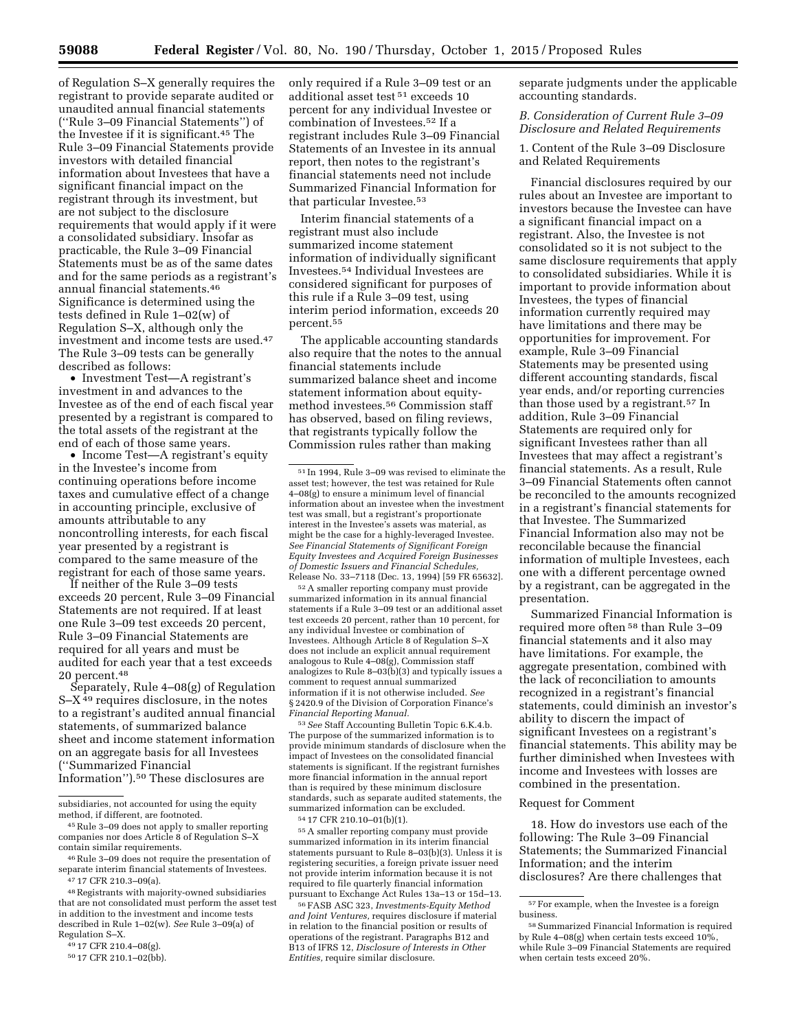of Regulation S–X generally requires the registrant to provide separate audited or unaudited annual financial statements (''Rule 3–09 Financial Statements'') of the Investee if it is significant.45 The Rule 3–09 Financial Statements provide investors with detailed financial information about Investees that have a significant financial impact on the registrant through its investment, but are not subject to the disclosure requirements that would apply if it were a consolidated subsidiary. Insofar as practicable, the Rule 3–09 Financial Statements must be as of the same dates and for the same periods as a registrant's annual financial statements.46 Significance is determined using the tests defined in Rule 1–02(w) of Regulation S–X, although only the investment and income tests are used.47 The Rule 3–09 tests can be generally described as follows:

• Investment Test—A registrant's investment in and advances to the Investee as of the end of each fiscal year presented by a registrant is compared to the total assets of the registrant at the end of each of those same years.

• Income Test—A registrant's equity in the Investee's income from continuing operations before income taxes and cumulative effect of a change in accounting principle, exclusive of amounts attributable to any noncontrolling interests, for each fiscal year presented by a registrant is compared to the same measure of the registrant for each of those same years.

If neither of the Rule 3–09 tests exceeds 20 percent, Rule 3–09 Financial Statements are not required. If at least one Rule 3–09 test exceeds 20 percent, Rule 3–09 Financial Statements are required for all years and must be audited for each year that a test exceeds 20 percent.48

Separately, Rule 4–08(g) of Regulation S–X 49 requires disclosure, in the notes to a registrant's audited annual financial statements, of summarized balance sheet and income statement information on an aggregate basis for all Investees (''Summarized Financial Information'').50 These disclosures are

that are not consolidated must perform the asset test in addition to the investment and income tests described in Rule 1–02(w). *See* Rule 3–09(a) of Regulation S–X.

only required if a Rule 3–09 test or an additional asset test 51 exceeds 10 percent for any individual Investee or combination of Investees.52 If a registrant includes Rule 3–09 Financial Statements of an Investee in its annual report, then notes to the registrant's financial statements need not include Summarized Financial Information for that particular Investee.53

Interim financial statements of a registrant must also include summarized income statement information of individually significant Investees.54 Individual Investees are considered significant for purposes of this rule if a Rule 3–09 test, using interim period information, exceeds 20 percent.55

The applicable accounting standards also require that the notes to the annual financial statements include summarized balance sheet and income statement information about equitymethod investees.56 Commission staff has observed, based on filing reviews, that registrants typically follow the Commission rules rather than making

52A smaller reporting company must provide summarized information in its annual financial statements if a Rule 3–09 test or an additional asset test exceeds 20 percent, rather than 10 percent, for any individual Investee or combination of Investees. Although Article 8 of Regulation S–X does not include an explicit annual requirement analogous to Rule 4–08(g), Commission staff analogizes to Rule 8–03(b)(3) and typically issues a comment to request annual summarized information if it is not otherwise included. *See*  § 2420.9 of the Division of Corporation Finance's *Financial Reporting Manual.* 

53*See* Staff Accounting Bulletin Topic 6.K.4.b. The purpose of the summarized information is to provide minimum standards of disclosure when the impact of Investees on the consolidated financial statements is significant. If the registrant furnishes more financial information in the annual report than is required by these minimum disclosure standards, such as separate audited statements, the summarized information can be excluded.

54 17 CFR 210.10–01(b)(1).

55A smaller reporting company must provide summarized information in its interim financial statements pursuant to Rule 8–03(b)(3). Unless it is registering securities, a foreign private issuer need not provide interim information because it is not required to file quarterly financial information pursuant to Exchange Act Rules 13a–13 or 15d–13.

56FASB ASC 323, *Investments-Equity Method and Joint Ventures,* requires disclosure if material in relation to the financial position or results of operations of the registrant. Paragraphs B12 and B13 of IFRS 12, *Disclosure of Interests in Other Entities,* require similar disclosure.

separate judgments under the applicable accounting standards.

### *B. Consideration of Current Rule 3–09 Disclosure and Related Requirements*

1. Content of the Rule 3–09 Disclosure and Related Requirements

Financial disclosures required by our rules about an Investee are important to investors because the Investee can have a significant financial impact on a registrant. Also, the Investee is not consolidated so it is not subject to the same disclosure requirements that apply to consolidated subsidiaries. While it is important to provide information about Investees, the types of financial information currently required may have limitations and there may be opportunities for improvement. For example, Rule 3–09 Financial Statements may be presented using different accounting standards, fiscal year ends, and/or reporting currencies than those used by a registrant.57 In addition, Rule 3–09 Financial Statements are required only for significant Investees rather than all Investees that may affect a registrant's financial statements. As a result, Rule 3–09 Financial Statements often cannot be reconciled to the amounts recognized in a registrant's financial statements for that Investee. The Summarized Financial Information also may not be reconcilable because the financial information of multiple Investees, each one with a different percentage owned by a registrant, can be aggregated in the presentation.

Summarized Financial Information is required more often 58 than Rule 3–09 financial statements and it also may have limitations. For example, the aggregate presentation, combined with the lack of reconciliation to amounts recognized in a registrant's financial statements, could diminish an investor's ability to discern the impact of significant Investees on a registrant's financial statements. This ability may be further diminished when Investees with income and Investees with losses are combined in the presentation.

#### Request for Comment

18. How do investors use each of the following: The Rule 3–09 Financial Statements; the Summarized Financial Information; and the interim disclosures? Are there challenges that

subsidiaries, not accounted for using the equity method, if different, are footnoted.

<sup>45</sup>Rule 3–09 does not apply to smaller reporting companies nor does Article 8 of Regulation S–X contain similar requirements.

<sup>46</sup>Rule 3–09 does not require the presentation of separate interim financial statements of Investees. 47 17 CFR 210.3–09(a).

<sup>48</sup>Registrants with majority-owned subsidiaries

<sup>49</sup> 17 CFR 210.4–08(g).

<sup>50</sup> 17 CFR 210.1–02(bb).

 $^{51}\!$  In 1994, Rule 3–09 was revised to eliminate the asset test; however, the test was retained for Rule 4–08(g) to ensure a minimum level of financial information about an investee when the investment test was small, but a registrant's proportionate interest in the Investee's assets was material, as might be the case for a highly-leveraged Investee. *See Financial Statements of Significant Foreign Equity Investees and Acquired Foreign Businesses of Domestic Issuers and Financial Schedules,*  Release No. 33–7118 (Dec. 13, 1994) [59 FR 65632].

 $^{57}\mathrm{For}$  example, when the Investee is a foreign business.

<sup>58</sup>Summarized Financial Information is required by Rule 4–08(g) when certain tests exceed  $10\%$ , while Rule 3–09 Financial Statements are required when certain tests exceed 20%.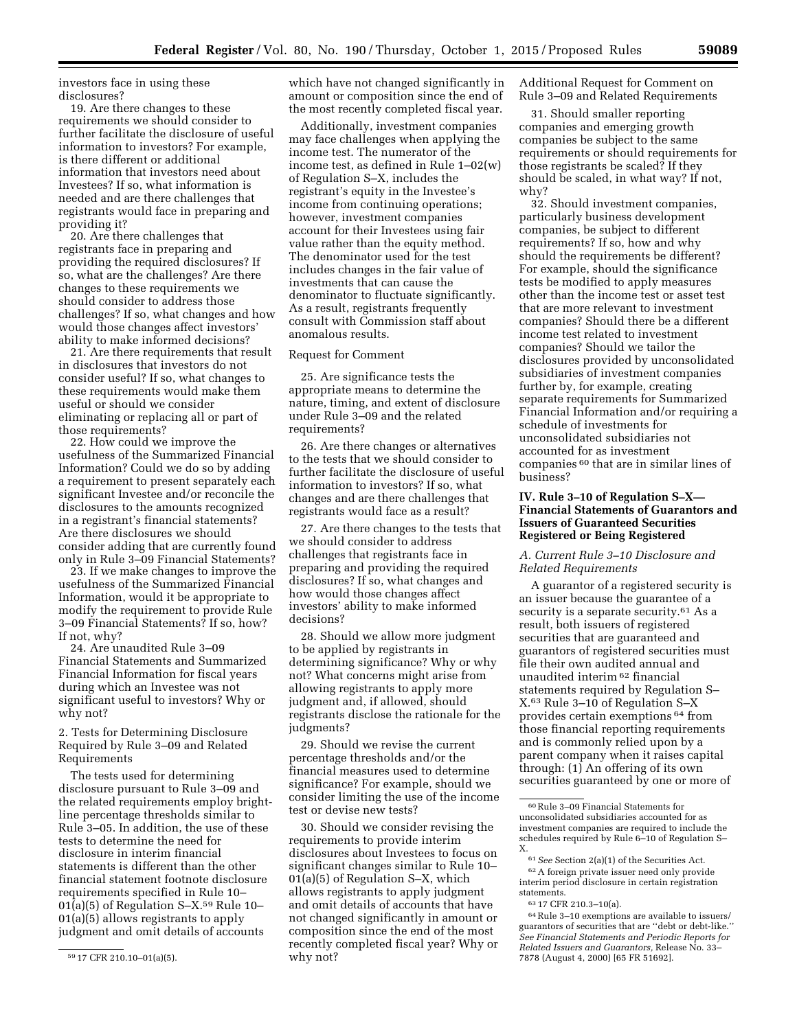investors face in using these disclosures?

19. Are there changes to these requirements we should consider to further facilitate the disclosure of useful information to investors? For example, is there different or additional information that investors need about Investees? If so, what information is needed and are there challenges that registrants would face in preparing and providing it?

20. Are there challenges that registrants face in preparing and providing the required disclosures? If so, what are the challenges? Are there changes to these requirements we should consider to address those challenges? If so, what changes and how would those changes affect investors' ability to make informed decisions?

21. Are there requirements that result in disclosures that investors do not consider useful? If so, what changes to these requirements would make them useful or should we consider eliminating or replacing all or part of those requirements?

22. How could we improve the usefulness of the Summarized Financial Information? Could we do so by adding a requirement to present separately each significant Investee and/or reconcile the disclosures to the amounts recognized in a registrant's financial statements? Are there disclosures we should consider adding that are currently found only in Rule 3–09 Financial Statements?

23. If we make changes to improve the usefulness of the Summarized Financial Information, would it be appropriate to modify the requirement to provide Rule 3–09 Financial Statements? If so, how? If not, why?

24. Are unaudited Rule 3–09 Financial Statements and Summarized Financial Information for fiscal years during which an Investee was not significant useful to investors? Why or why not?

2. Tests for Determining Disclosure Required by Rule 3–09 and Related Requirements

The tests used for determining disclosure pursuant to Rule 3–09 and the related requirements employ brightline percentage thresholds similar to Rule 3–05. In addition, the use of these tests to determine the need for disclosure in interim financial statements is different than the other financial statement footnote disclosure requirements specified in Rule 10– 01(a)(5) of Regulation S–X.59 Rule 10– 01(a)(5) allows registrants to apply judgment and omit details of accounts

which have not changed significantly in amount or composition since the end of the most recently completed fiscal year.

Additionally, investment companies may face challenges when applying the income test. The numerator of the income test, as defined in Rule 1–02(w) of Regulation S–X, includes the registrant's equity in the Investee's income from continuing operations; however, investment companies account for their Investees using fair value rather than the equity method. The denominator used for the test includes changes in the fair value of investments that can cause the denominator to fluctuate significantly. As a result, registrants frequently consult with Commission staff about anomalous results.

## Request for Comment

25. Are significance tests the appropriate means to determine the nature, timing, and extent of disclosure under Rule 3–09 and the related requirements?

26. Are there changes or alternatives to the tests that we should consider to further facilitate the disclosure of useful information to investors? If so, what changes and are there challenges that registrants would face as a result?

27. Are there changes to the tests that we should consider to address challenges that registrants face in preparing and providing the required disclosures? If so, what changes and how would those changes affect investors' ability to make informed decisions?

28. Should we allow more judgment to be applied by registrants in determining significance? Why or why not? What concerns might arise from allowing registrants to apply more judgment and, if allowed, should registrants disclose the rationale for the judgments?

29. Should we revise the current percentage thresholds and/or the financial measures used to determine significance? For example, should we consider limiting the use of the income test or devise new tests?

30. Should we consider revising the requirements to provide interim disclosures about Investees to focus on significant changes similar to Rule 10– 01(a)(5) of Regulation S–X, which allows registrants to apply judgment and omit details of accounts that have not changed significantly in amount or composition since the end of the most recently completed fiscal year? Why or why not?

Additional Request for Comment on Rule 3–09 and Related Requirements

31. Should smaller reporting companies and emerging growth companies be subject to the same requirements or should requirements for those registrants be scaled? If they should be scaled, in what way? If not, why?

32. Should investment companies, particularly business development companies, be subject to different requirements? If so, how and why should the requirements be different? For example, should the significance tests be modified to apply measures other than the income test or asset test that are more relevant to investment companies? Should there be a different income test related to investment companies? Should we tailor the disclosures provided by unconsolidated subsidiaries of investment companies further by, for example, creating separate requirements for Summarized Financial Information and/or requiring a schedule of investments for unconsolidated subsidiaries not accounted for as investment companies 60 that are in similar lines of business?

## **IV. Rule 3–10 of Regulation S–X— Financial Statements of Guarantors and Issuers of Guaranteed Securities Registered or Being Registered**

## *A. Current Rule 3–10 Disclosure and Related Requirements*

A guarantor of a registered security is an issuer because the guarantee of a security is a separate security.<sup>61</sup> As a result, both issuers of registered securities that are guaranteed and guarantors of registered securities must file their own audited annual and unaudited interim 62 financial statements required by Regulation S– X.63 Rule 3–10 of Regulation S–X provides certain exemptions 64 from those financial reporting requirements and is commonly relied upon by a parent company when it raises capital through: (1) An offering of its own securities guaranteed by one or more of

62A foreign private issuer need only provide interim period disclosure in certain registration statements.

<sup>59</sup> 17 CFR 210.10–01(a)(5).

<sup>60</sup>Rule 3–09 Financial Statements for unconsolidated subsidiaries accounted for as investment companies are required to include the schedules required by Rule 6–10 of Regulation S– X.

<sup>61</sup>*See* Section 2(a)(1) of the Securities Act.

<sup>63</sup> 17 CFR 210.3–10(a).

<sup>64</sup>Rule 3–10 exemptions are available to issuers/ guarantors of securities that are ''debt or debt-like.'' *See Financial Statements and Periodic Reports for Related Issuers and Guarantors,* Release No. 33– 7878 (August 4, 2000) [65 FR 51692].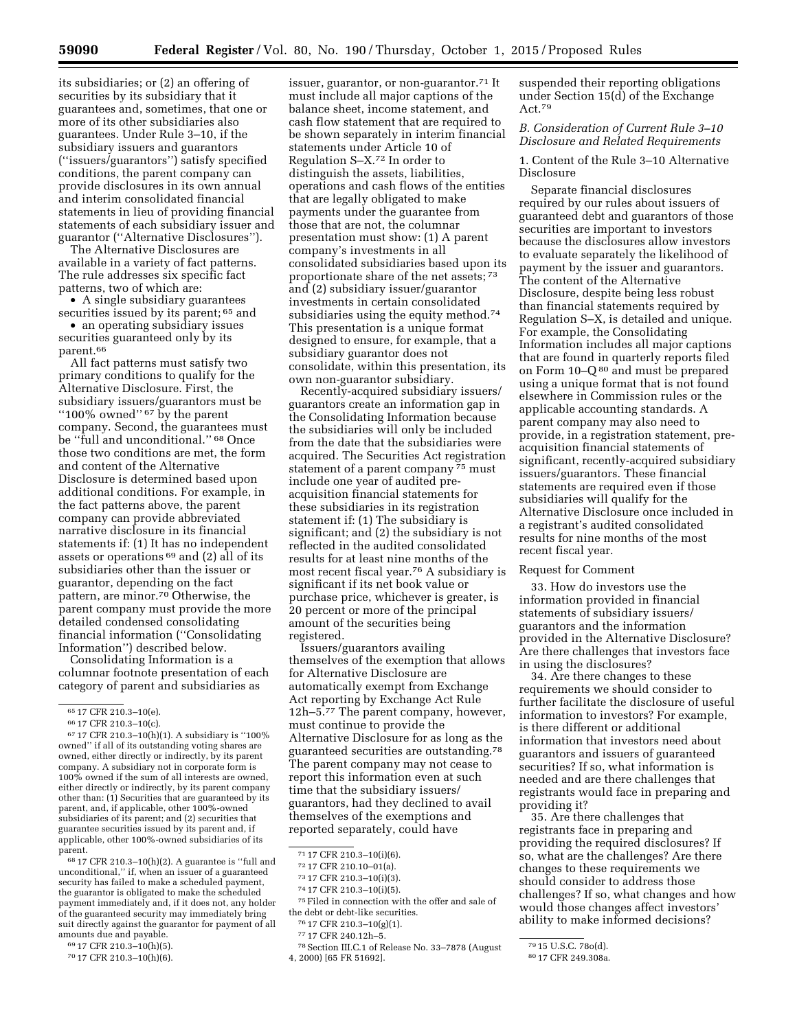its subsidiaries; or (2) an offering of securities by its subsidiary that it guarantees and, sometimes, that one or more of its other subsidiaries also guarantees. Under Rule 3–10, if the subsidiary issuers and guarantors (''issuers/guarantors'') satisfy specified conditions, the parent company can provide disclosures in its own annual and interim consolidated financial statements in lieu of providing financial statements of each subsidiary issuer and guarantor (''Alternative Disclosures'').

The Alternative Disclosures are available in a variety of fact patterns. The rule addresses six specific fact patterns, two of which are:

• A single subsidiary guarantees securities issued by its parent; 65 and

• an operating subsidiary issues securities guaranteed only by its parent.66

All fact patterns must satisfy two primary conditions to qualify for the Alternative Disclosure. First, the subsidiary issuers/guarantors must be ''100% owned'' 67 by the parent company. Second, the guarantees must be ''full and unconditional.'' 68 Once those two conditions are met, the form and content of the Alternative Disclosure is determined based upon additional conditions. For example, in the fact patterns above, the parent company can provide abbreviated narrative disclosure in its financial statements if: (1) It has no independent assets or operations  $69$  and (2) all of its subsidiaries other than the issuer or guarantor, depending on the fact pattern, are minor.70 Otherwise, the parent company must provide the more detailed condensed consolidating financial information (''Consolidating Information'') described below.

Consolidating Information is a columnar footnote presentation of each category of parent and subsidiaries as

68 17 CFR 210.3–10(h)(2). A guarantee is ''full and unconditional,'' if, when an issuer of a guaranteed security has failed to make a scheduled payment, the guarantor is obligated to make the scheduled payment immediately and, if it does not, any holder of the guaranteed security may immediately bring suit directly against the guarantor for payment of all amounts due and payable.

69 17 CFR 210.3–10(h)(5).

70 17 CFR 210.3–10(h)(6).

issuer, guarantor, or non-guarantor.71 It must include all major captions of the balance sheet, income statement, and cash flow statement that are required to be shown separately in interim financial statements under Article 10 of Regulation S–X.72 In order to distinguish the assets, liabilities, operations and cash flows of the entities that are legally obligated to make payments under the guarantee from those that are not, the columnar presentation must show: (1) A parent company's investments in all consolidated subsidiaries based upon its proportionate share of the net assets; 73 and (2) subsidiary issuer/guarantor investments in certain consolidated subsidiaries using the equity method.<sup>74</sup> This presentation is a unique format designed to ensure, for example, that a subsidiary guarantor does not consolidate, within this presentation, its own non-guarantor subsidiary.

Recently-acquired subsidiary issuers/ guarantors create an information gap in the Consolidating Information because the subsidiaries will only be included from the date that the subsidiaries were acquired. The Securities Act registration statement of a parent company 75 must include one year of audited preacquisition financial statements for these subsidiaries in its registration statement if: (1) The subsidiary is significant; and (2) the subsidiary is not reflected in the audited consolidated results for at least nine months of the most recent fiscal year.76 A subsidiary is significant if its net book value or purchase price, whichever is greater, is 20 percent or more of the principal amount of the securities being registered.

Issuers/guarantors availing themselves of the exemption that allows for Alternative Disclosure are automatically exempt from Exchange Act reporting by Exchange Act Rule 12h–5.77 The parent company, however, must continue to provide the Alternative Disclosure for as long as the guaranteed securities are outstanding.78 The parent company may not cease to report this information even at such time that the subsidiary issuers/ guarantors, had they declined to avail themselves of the exemptions and reported separately, could have

73 17 CFR 210.3–10(i)(3).

74 17 CFR 210.3–10(i)(5).

75Filed in connection with the offer and sale of the debt or debt-like securities.

77 17 CFR 240.12h–5.

78Section III.C.1 of Release No. 33–7878 (August 4, 2000) [65 FR 51692].

suspended their reporting obligations under Section 15(d) of the Exchange Act.79

# *B. Consideration of Current Rule 3–10 Disclosure and Related Requirements*

## 1. Content of the Rule 3–10 Alternative Disclosure

Separate financial disclosures required by our rules about issuers of guaranteed debt and guarantors of those securities are important to investors because the disclosures allow investors to evaluate separately the likelihood of payment by the issuer and guarantors. The content of the Alternative Disclosure, despite being less robust than financial statements required by Regulation S–X, is detailed and unique. For example, the Consolidating Information includes all major captions that are found in quarterly reports filed on Form 10–Q 80 and must be prepared using a unique format that is not found elsewhere in Commission rules or the applicable accounting standards. A parent company may also need to provide, in a registration statement, preacquisition financial statements of significant, recently-acquired subsidiary issuers/guarantors. These financial statements are required even if those subsidiaries will qualify for the Alternative Disclosure once included in a registrant's audited consolidated results for nine months of the most recent fiscal year.

#### Request for Comment

33. How do investors use the information provided in financial statements of subsidiary issuers/ guarantors and the information provided in the Alternative Disclosure? Are there challenges that investors face in using the disclosures?

34. Are there changes to these requirements we should consider to further facilitate the disclosure of useful information to investors? For example, is there different or additional information that investors need about guarantors and issuers of guaranteed securities? If so, what information is needed and are there challenges that registrants would face in preparing and providing it?

35. Are there challenges that registrants face in preparing and providing the required disclosures? If so, what are the challenges? Are there changes to these requirements we should consider to address those challenges? If so, what changes and how would those changes affect investors' ability to make informed decisions?

<sup>65</sup> 17 CFR 210.3–10(e).

<sup>66</sup> 17 CFR 210.3–10(c).

<sup>67</sup> 17 CFR 210.3–10(h)(1). A subsidiary is ''100% owned'' if all of its outstanding voting shares are owned, either directly or indirectly, by its parent company. A subsidiary not in corporate form is 100% owned if the sum of all interests are owned, either directly or indirectly, by its parent company other than: (1) Securities that are guaranteed by its parent, and, if applicable, other 100%-owned subsidiaries of its parent; and (2) securities that guarantee securities issued by its parent and, if applicable, other 100%-owned subsidiaries of its parent.

<sup>71</sup> 17 CFR 210.3–10(i)(6).

<sup>72</sup> 17 CFR 210.10–01(a).

<sup>76</sup> 17 CFR 210.3–10(g)(1).

<sup>79</sup> 15 U.S.C. 78o(d).

<sup>80</sup> 17 CFR 249.308a.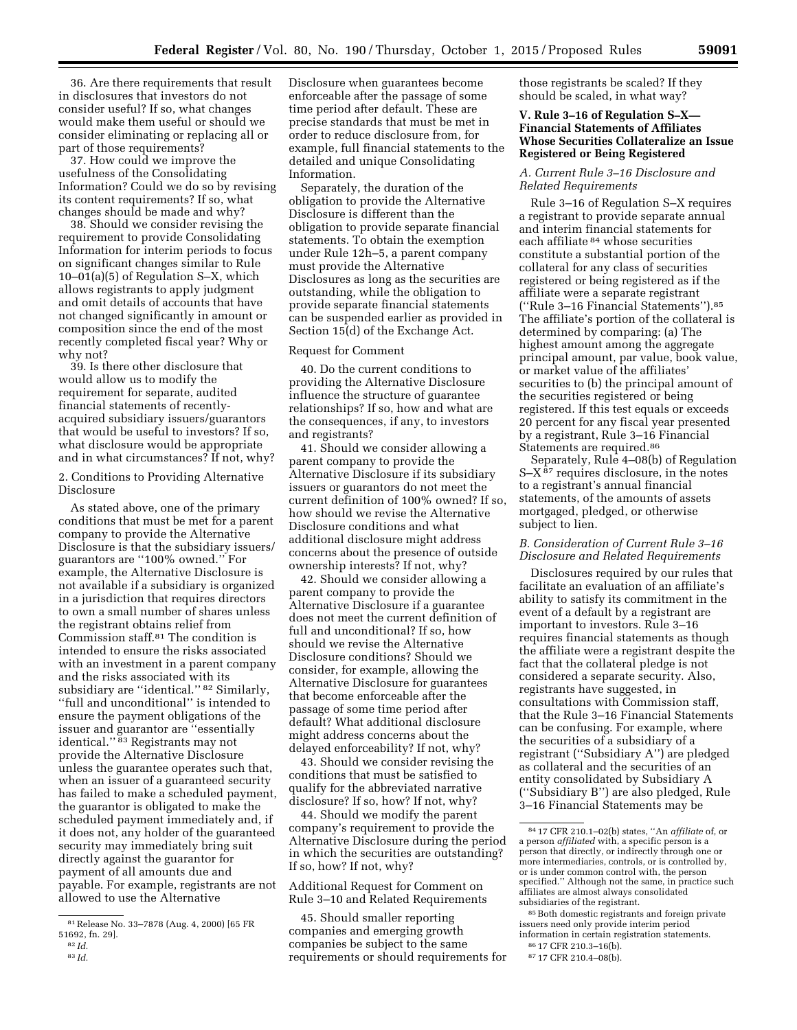36. Are there requirements that result in disclosures that investors do not consider useful? If so, what changes would make them useful or should we consider eliminating or replacing all or part of those requirements?

37. How could we improve the usefulness of the Consolidating Information? Could we do so by revising its content requirements? If so, what changes should be made and why?

38. Should we consider revising the requirement to provide Consolidating Information for interim periods to focus on significant changes similar to Rule 10–01(a)(5) of Regulation S–X, which allows registrants to apply judgment and omit details of accounts that have not changed significantly in amount or composition since the end of the most recently completed fiscal year? Why or why not?

39. Is there other disclosure that would allow us to modify the requirement for separate, audited financial statements of recentlyacquired subsidiary issuers/guarantors that would be useful to investors? If so, what disclosure would be appropriate and in what circumstances? If not, why?

2. Conditions to Providing Alternative Disclosure

As stated above, one of the primary conditions that must be met for a parent company to provide the Alternative Disclosure is that the subsidiary issuers/ guarantors are ''100% owned.'' For example, the Alternative Disclosure is not available if a subsidiary is organized in a jurisdiction that requires directors to own a small number of shares unless the registrant obtains relief from Commission staff.81 The condition is intended to ensure the risks associated with an investment in a parent company and the risks associated with its subsidiary are ''identical.'' 82 Similarly, ''full and unconditional'' is intended to ensure the payment obligations of the issuer and guarantor are ''essentially identical."<sup>83</sup> Registrants may not provide the Alternative Disclosure unless the guarantee operates such that, when an issuer of a guaranteed security has failed to make a scheduled payment, the guarantor is obligated to make the scheduled payment immediately and, if it does not, any holder of the guaranteed security may immediately bring suit directly against the guarantor for payment of all amounts due and payable. For example, registrants are not allowed to use the Alternative

Disclosure when guarantees become enforceable after the passage of some time period after default. These are precise standards that must be met in order to reduce disclosure from, for example, full financial statements to the detailed and unique Consolidating Information.

Separately, the duration of the obligation to provide the Alternative Disclosure is different than the obligation to provide separate financial statements. To obtain the exemption under Rule 12h–5, a parent company must provide the Alternative Disclosures as long as the securities are outstanding, while the obligation to provide separate financial statements can be suspended earlier as provided in Section 15(d) of the Exchange Act.

# Request for Comment

40. Do the current conditions to providing the Alternative Disclosure influence the structure of guarantee relationships? If so, how and what are the consequences, if any, to investors and registrants?

41. Should we consider allowing a parent company to provide the Alternative Disclosure if its subsidiary issuers or guarantors do not meet the current definition of 100% owned? If so, how should we revise the Alternative Disclosure conditions and what additional disclosure might address concerns about the presence of outside ownership interests? If not, why?

42. Should we consider allowing a parent company to provide the Alternative Disclosure if a guarantee does not meet the current definition of full and unconditional? If so, how should we revise the Alternative Disclosure conditions? Should we consider, for example, allowing the Alternative Disclosure for guarantees that become enforceable after the passage of some time period after default? What additional disclosure might address concerns about the delayed enforceability? If not, why?

43. Should we consider revising the conditions that must be satisfied to qualify for the abbreviated narrative disclosure? If so, how? If not, why?

44. Should we modify the parent company's requirement to provide the Alternative Disclosure during the period in which the securities are outstanding? If so, how? If not, why?

Additional Request for Comment on Rule 3–10 and Related Requirements

45. Should smaller reporting companies and emerging growth companies be subject to the same requirements or should requirements for those registrants be scaled? If they should be scaled, in what way?

## **V. Rule 3–16 of Regulation S–X— Financial Statements of Affiliates Whose Securities Collateralize an Issue Registered or Being Registered**

*A. Current Rule 3–16 Disclosure and Related Requirements* 

Rule 3–16 of Regulation S–X requires a registrant to provide separate annual and interim financial statements for each affiliate 84 whose securities constitute a substantial portion of the collateral for any class of securities registered or being registered as if the affiliate were a separate registrant (''Rule 3–16 Financial Statements'').85 The affiliate's portion of the collateral is determined by comparing: (a) The highest amount among the aggregate principal amount, par value, book value, or market value of the affiliates' securities to (b) the principal amount of the securities registered or being registered. If this test equals or exceeds 20 percent for any fiscal year presented by a registrant, Rule 3–16 Financial Statements are required.86

Separately, Rule 4–08(b) of Regulation S–X 87 requires disclosure, in the notes to a registrant's annual financial statements, of the amounts of assets mortgaged, pledged, or otherwise subject to lien.

# *B. Consideration of Current Rule 3–16 Disclosure and Related Requirements*

Disclosures required by our rules that facilitate an evaluation of an affiliate's ability to satisfy its commitment in the event of a default by a registrant are important to investors. Rule 3–16 requires financial statements as though the affiliate were a registrant despite the fact that the collateral pledge is not considered a separate security. Also, registrants have suggested, in consultations with Commission staff, that the Rule 3–16 Financial Statements can be confusing. For example, where the securities of a subsidiary of a registrant (''Subsidiary A'') are pledged as collateral and the securities of an entity consolidated by Subsidiary A (''Subsidiary B'') are also pledged, Rule 3–16 Financial Statements may be

85Both domestic registrants and foreign private issuers need only provide interim period information in certain registration statements.

<sup>81</sup>Release No. 33–7878 (Aug. 4, 2000) [65 FR 51692, fn. 29].

<sup>82</sup> *Id.* 

<sup>83</sup> *Id.* 

<sup>84</sup> 17 CFR 210.1–02(b) states, ''An *affiliate* of, or a person *affiliated* with, a specific person is a person that directly, or indirectly through one or more intermediaries, controls, or is controlled by, or is under common control with, the person specified.'' Although not the same, in practice such affiliates are almost always consolidated subsidiaries of the registrant.

<sup>86</sup> 17 CFR 210.3–16(b).

<sup>87</sup> 17 CFR 210.4–08(b).